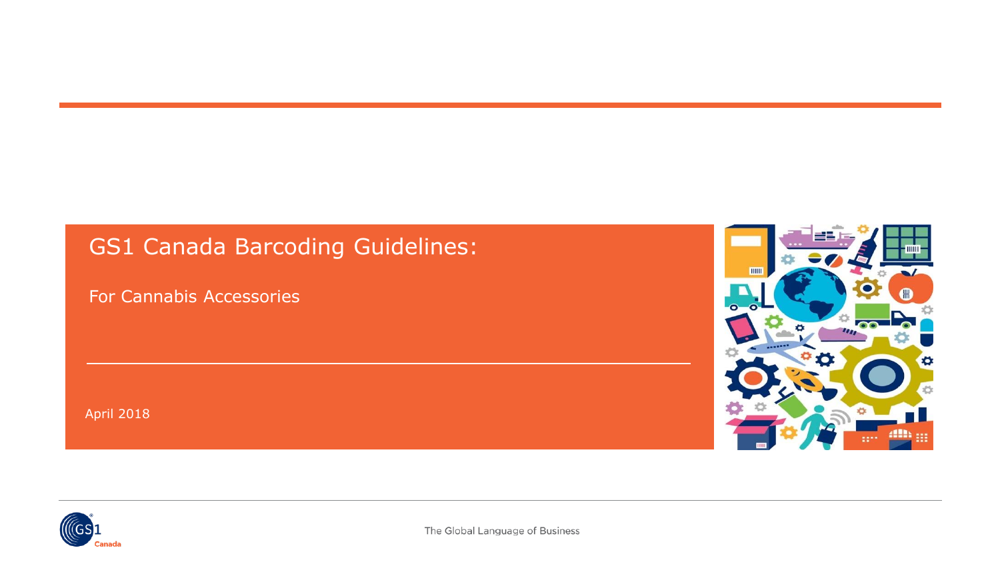## GS1 Canada Barcoding Guidelines:

For Cannabis Accessories

April 2018



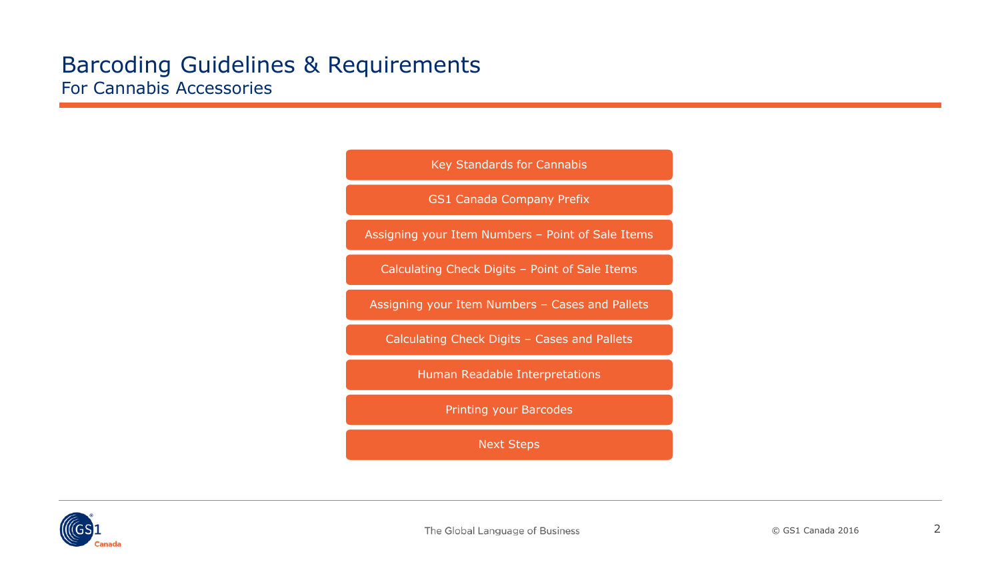

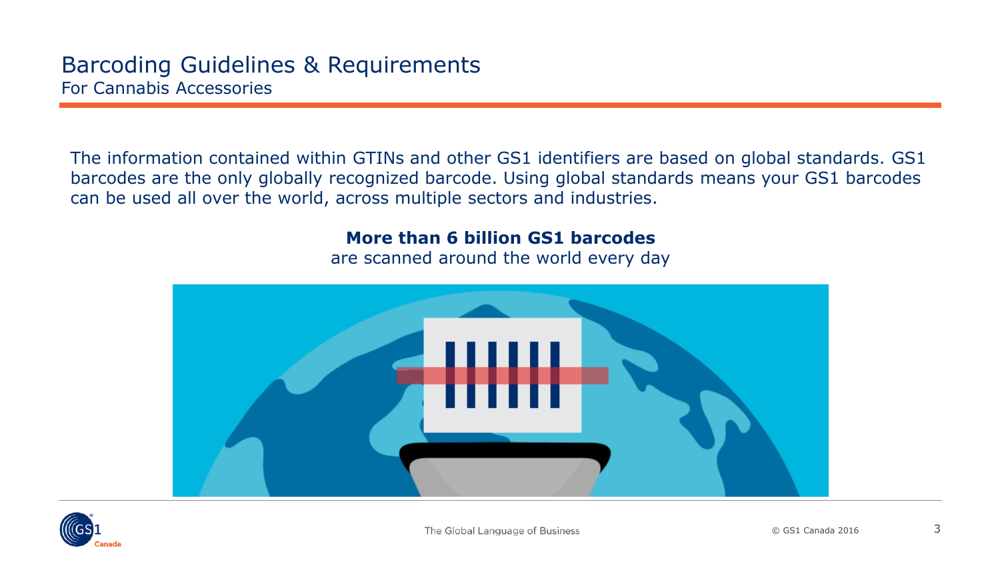The information contained within GTINs and other GS1 identifiers are based on global standards. GS1 barcodes are the only globally recognized barcode. Using global standards means your GS1 barcodes can be used all over the world, across multiple sectors and industries.

#### **More than 6 billion GS1 barcodes**

are scanned around the world every day



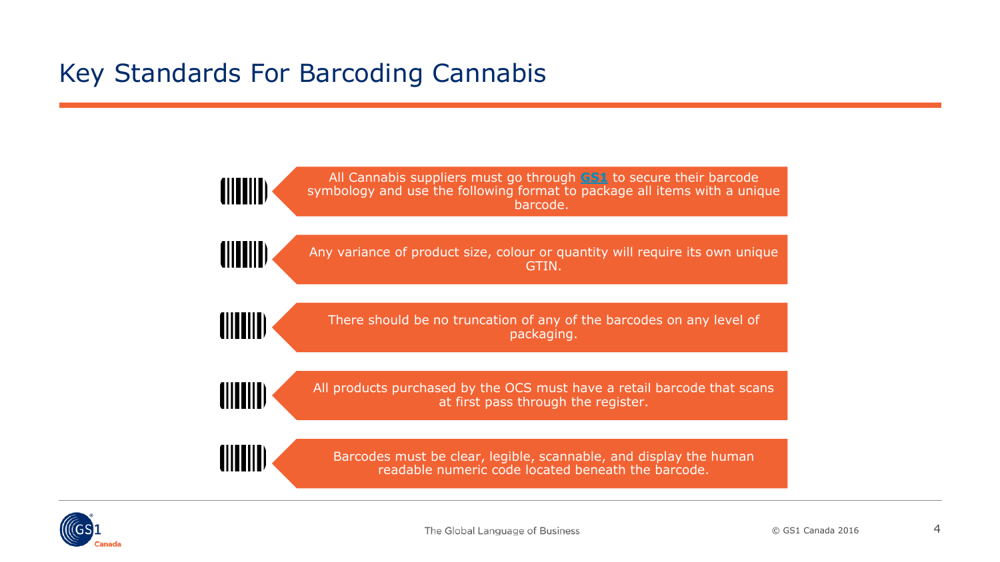# <span id="page-3-0"></span>Key Standards For Barcoding Cannabis



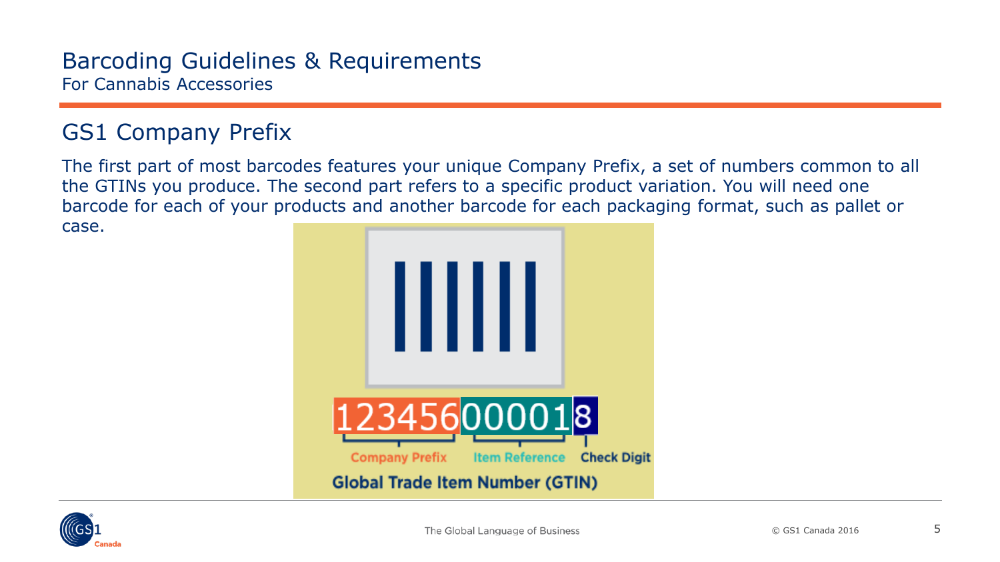## <span id="page-4-0"></span>GS1 Company Prefix

The first part of most barcodes features your unique Company Prefix, a set of numbers common to all the GTINs you produce. The second part refers to a specific product variation. You will need one barcode for each of your products and another barcode for each packaging format, such as pallet or case.



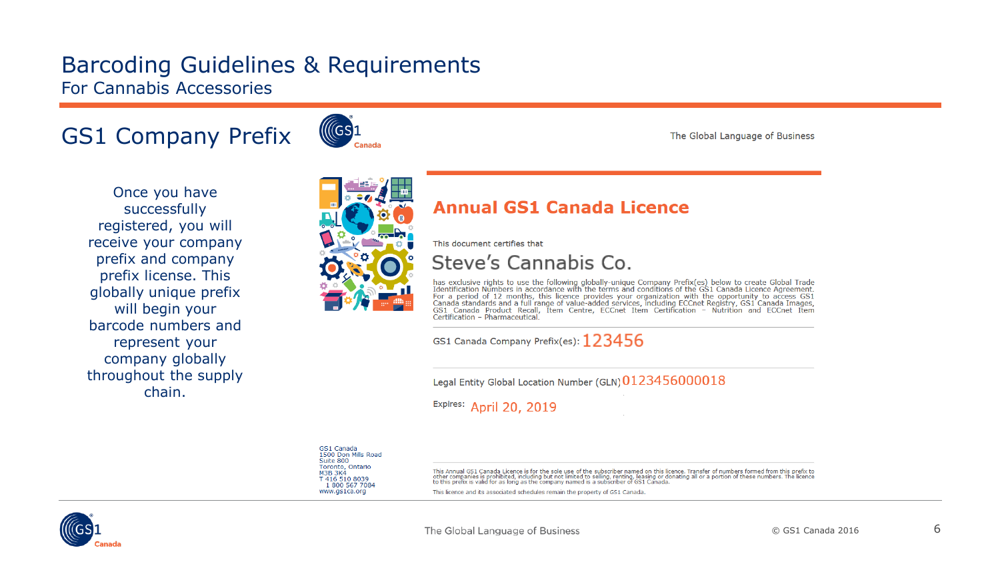## GS1 Company Prefix



The Global Language of Business

Once you have successfully registered, you will receive your company prefix and company prefix license. This globally unique prefix will begin your barcode numbers and represent your company globally throughout the supply chain.



#### **Annual GS1 Canada Licence**

This document certifies that

Steve's Cannabis Co.

has exclusive rights to use the following globally-unique Company Prefix(es) below to create Global Trade Identification Numbers in accordance with the terms and conditions of the GS1 Canada Licence Agreement. Demonstrator with the product and the comparison of the control of the control of the proof and the proof of 12 months, this licence provides your organization with the opportunity to access GS1 Canada standards and a full Certification - Pharmaceutical

GS1 Canada Company Prefix(es):  $123456$ 

Legal Entity Global Location Number (GLN) 0123456000018

Expires: April 20, 2019

GS1 Canada 1500 Don Mills Road Suite 800 Toronto, Ontario **M3B 3K4** T 416 510 8039 1800 567 7084 www.gs1ca.org

This Annual GS1 Canada Licence is for the sole use of the subscriber named on this licence. Transfer of numbers formed from this prefix to other companies is prohibited, including but not limited to selling, renting, leasing or donating all or a portion of these numbers. The licence<br>to this prefix is valid for as long as the company named is a subscriber of G

This licence and its associated schedules remain the property of GS1 Canada

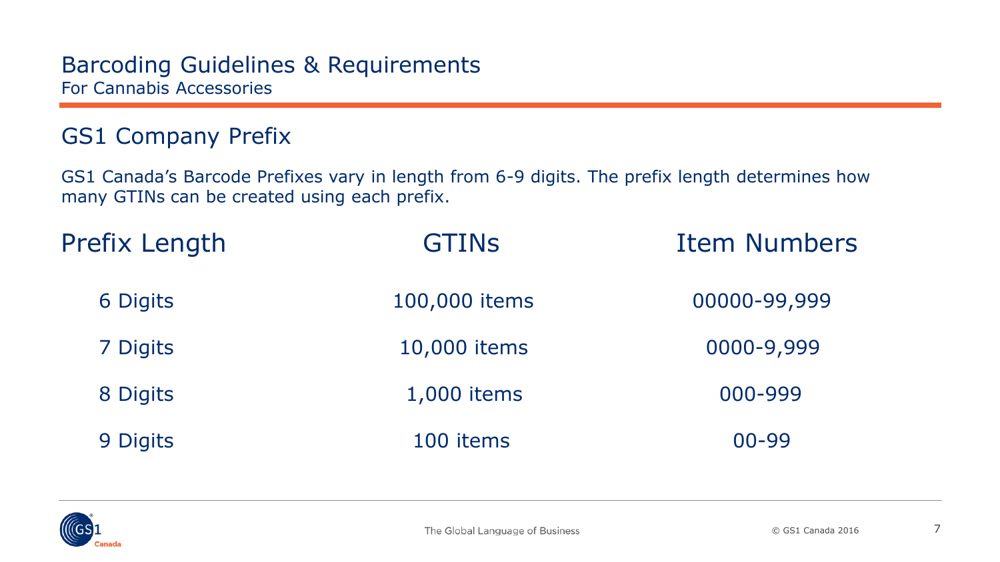## GS1 Company Prefix

GS1 Canada's Barcode Prefixes vary in length from 6-9 digits. The prefix length determines how many GTINs can be created using each prefix.

| <b>Prefix Length</b> | <b>GTINS</b>  | <b>Item Numbers</b> |  |
|----------------------|---------------|---------------------|--|
| 6 Digits             | 100,000 items | 00000-99,999        |  |
| 7 Digits             | 10,000 items  | 0000-9,999          |  |
| 8 Digits             | 1,000 items   | 000-999             |  |
| 9 Digits             | 100 items     | $00 - 99$           |  |

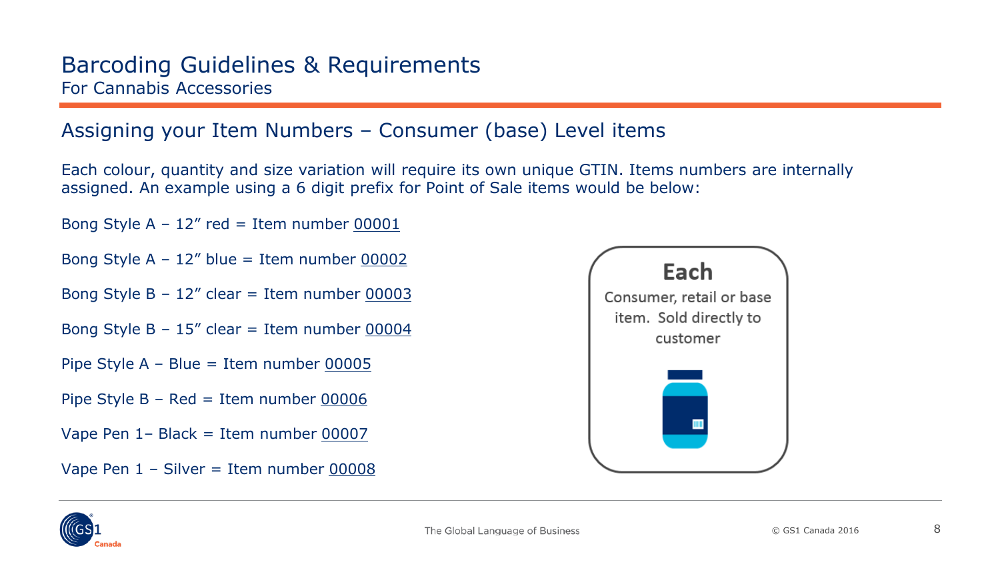### <span id="page-7-0"></span>Assigning your Item Numbers – Consumer (base) Level items

Each colour, quantity and size variation will require its own unique GTIN. Items numbers are internally assigned. An example using a 6 digit prefix for Point of Sale items would be below:

Bong Style A –  $12''$  red = Item number  $00001$ 

- Bong Style  $A 12''$  blue = Item number 00002
- Bong Style  $B 12''$  clear = Item number 00003
- Bong Style B  $15''$  clear = Item number 00004
- Pipe Style A Blue = Item number 00005
- Pipe Style  $B Red = Item number  $00006$$
- Vape Pen 1– Black = Item number 00007
- Vape Pen  $1 -$  Silver = Item number 00008



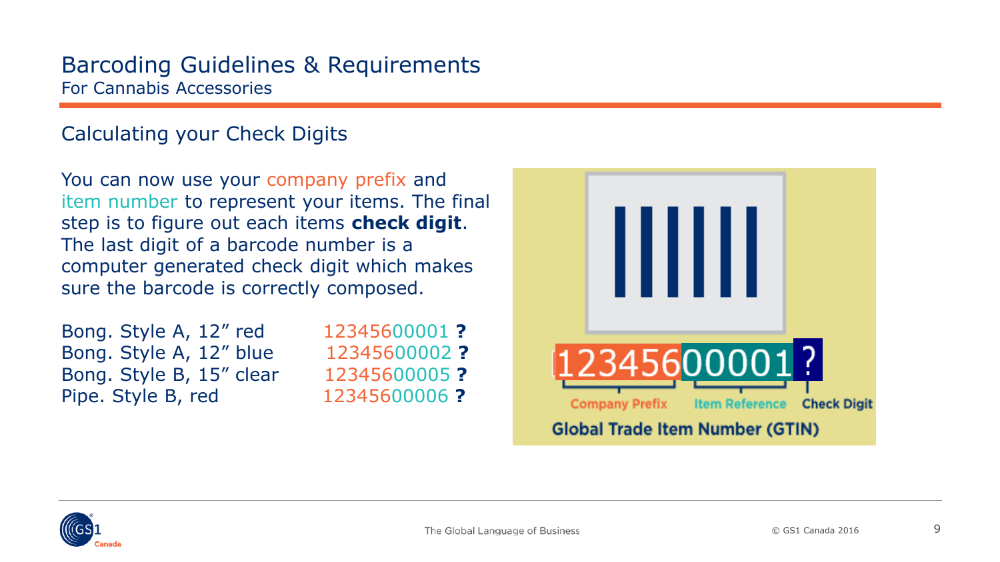### <span id="page-8-0"></span>Calculating your Check Digits

You can now use your company prefix and item number to represent your items. The final step is to figure out each items **check digit**. The last digit of a barcode number is a computer generated check digit which makes sure the barcode is correctly composed.

| Bong. Style A, 12" red   |  |  |  |
|--------------------------|--|--|--|
| Bong. Style A, 12" blue  |  |  |  |
| Bong. Style B, 15" clear |  |  |  |
| Pipe. Style B, red       |  |  |  |

Bong. Style A, 12" red 12345600001 **?** Bong. Style A, 12" blue 12345600002 **?** Bong. Style B, 15" clear 12345600005 **?** Pipe. Style B, red 12345600006 **?**



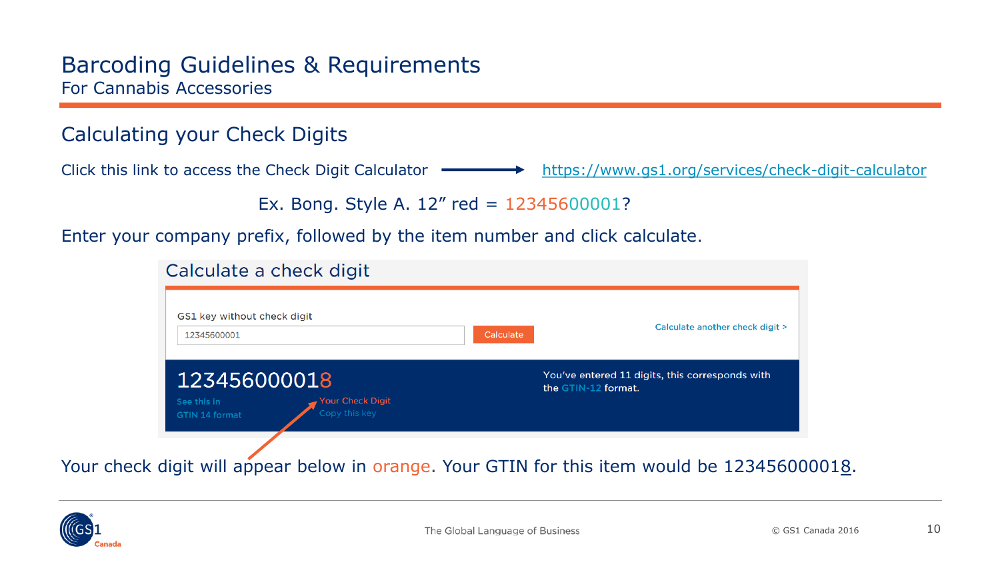### Calculating your Check Digits

Click this link to access the Check Digit Calculator **- <https://www.gs1.org/services/check-digit-calculator>** 

Ex. Bong. Style A. 12" red = 12345600001?

Enter your company prefix, followed by the item number and click calculate.

#### Calculate a check digit

| GS1 key without check digit                            |           |                                                                        |
|--------------------------------------------------------|-----------|------------------------------------------------------------------------|
| 12345600001                                            | Calculate | Calculate another check digit >                                        |
| 123456000018<br><b>Your Check Digit</b><br>See this in |           | You've entered 11 digits, this corresponds with<br>the GTIN-12 format. |
| Copy this key<br><b>GTIN 14 format</b>                 |           |                                                                        |

Your check digit will appear below in orange. Your GTIN for this item would be 123456000018.

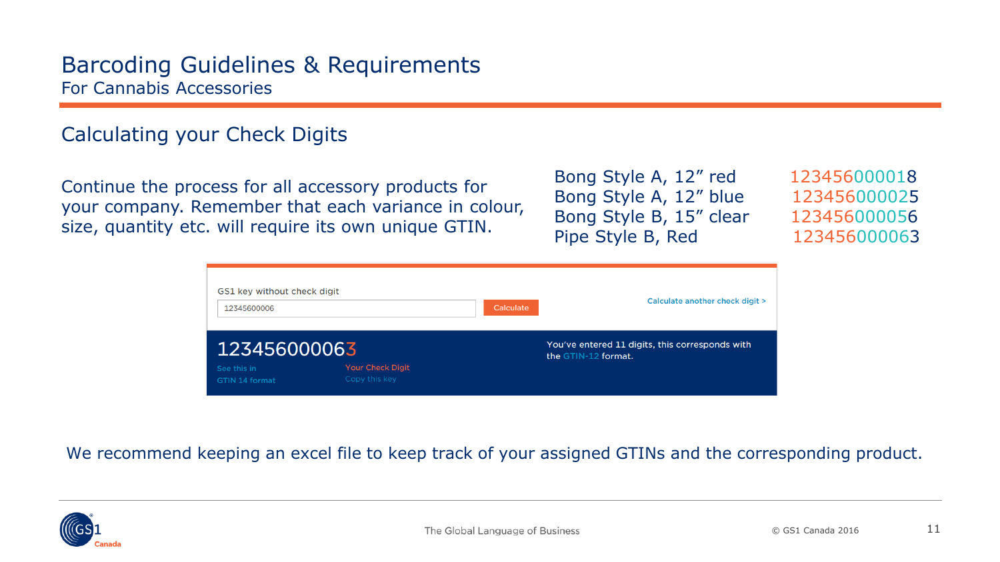### Calculating your Check Digits

Continue the process for all accessory products for your company. Remember that each variance in colour, size, quantity etc. will require its own unique GTIN.

Bong Style A, 12" red 123456000018 Bong Style A, 12" blue 123456000025 Bong Style B, 15" clear 123456000056 Pipe Style B, Red 123456000063



We recommend keeping an excel file to keep track of your assigned GTINs and the corresponding product.

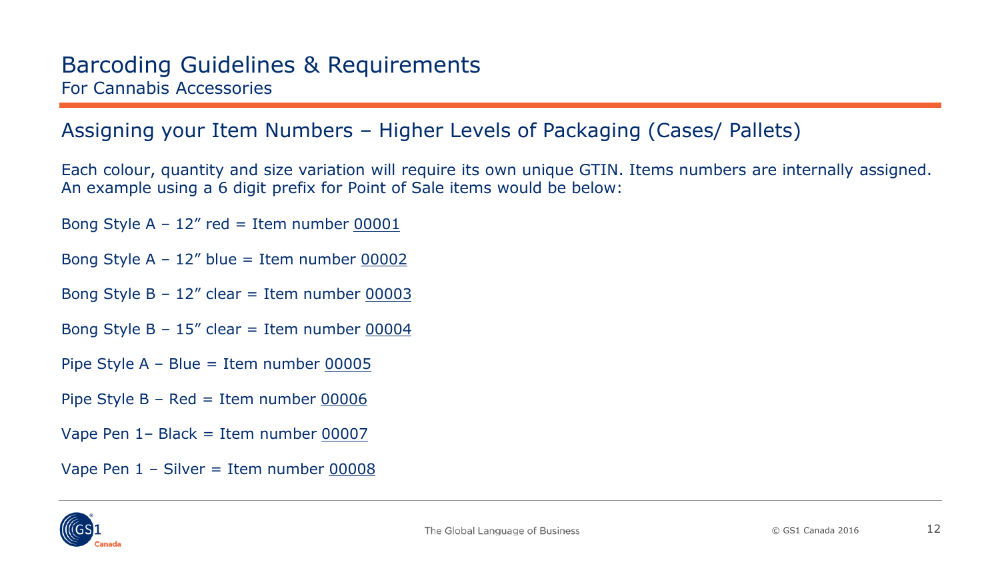### <span id="page-11-0"></span>Assigning your Item Numbers – Higher Levels of Packaging (Cases/ Pallets)

Each colour, quantity and size variation will require its own unique GTIN. Items numbers are internally assigned. An example using a 6 digit prefix for Point of Sale items would be below:

Bong Style A –  $12''$  red = Item number  $00001$ 

Bong Style  $A - 12''$  blue = Item number 00002

Bong Style  $B - 12''$  clear = Item number 00003

Bong Style B –  $15''$  clear = Item number 00004

Pipe Style A – Blue = Item number 00005

Pipe Style  $B - Red = Item number  $00006$$ 

Vape Pen 1– Black = Item number 00007

Vape Pen  $1 -$  Silver = Item number  $00008$ 

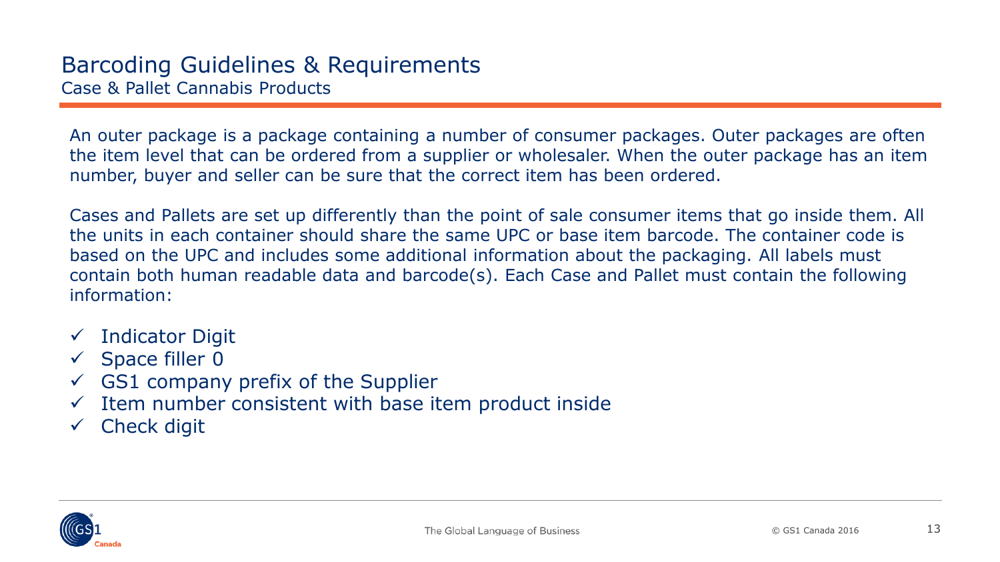An outer package is a package containing a number of consumer packages. Outer packages are often the item level that can be ordered from a supplier or wholesaler. When the outer package has an item number, buyer and seller can be sure that the correct item has been ordered.

Cases and Pallets are set up differently than the point of sale consumer items that go inside them. All the units in each container should share the same UPC or base item barcode. The container code is based on the UPC and includes some additional information about the packaging. All labels must contain both human readable data and barcode(s). Each Case and Pallet must contain the following information:

- $\checkmark$  Indicator Digit
- $\checkmark$  Space filler 0
- $\checkmark$  GS1 company prefix of the Supplier
- $\checkmark$  Item number consistent with base item product inside
- $\checkmark$  Check digit

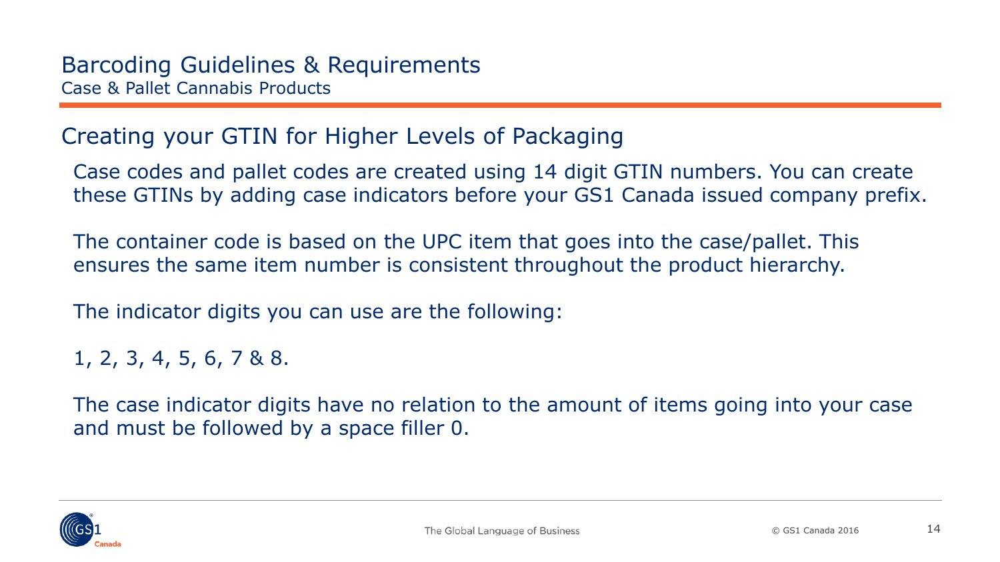## Creating your GTIN for Higher Levels of Packaging

Case codes and pallet codes are created using 14 digit GTIN numbers. You can create these GTINs by adding case indicators before your GS1 Canada issued company prefix.

The container code is based on the UPC item that goes into the case/pallet. This ensures the same item number is consistent throughout the product hierarchy.

The indicator digits you can use are the following:

1, 2, 3, 4, 5, 6, 7 & 8.

The case indicator digits have no relation to the amount of items going into your case and must be followed by a space filler 0.

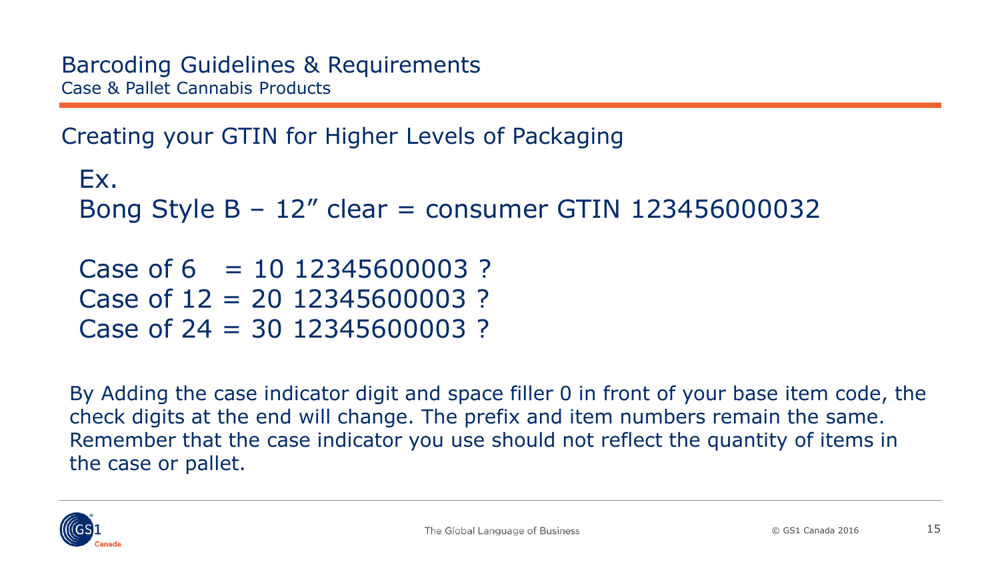Creating your GTIN for Higher Levels of Packaging

```
Ex. 
Bong Style B – 12" clear = consumer GTIN 123456000032
Case of 6 = 10, 12345600003?
```

```
Case of 12 = 20 12345600003 ?
Case of 24 = 30 12345600003 ?
```
By Adding the case indicator digit and space filler 0 in front of your base item code, the check digits at the end will change. The prefix and item numbers remain the same. Remember that the case indicator you use should not reflect the quantity of items in the case or pallet.

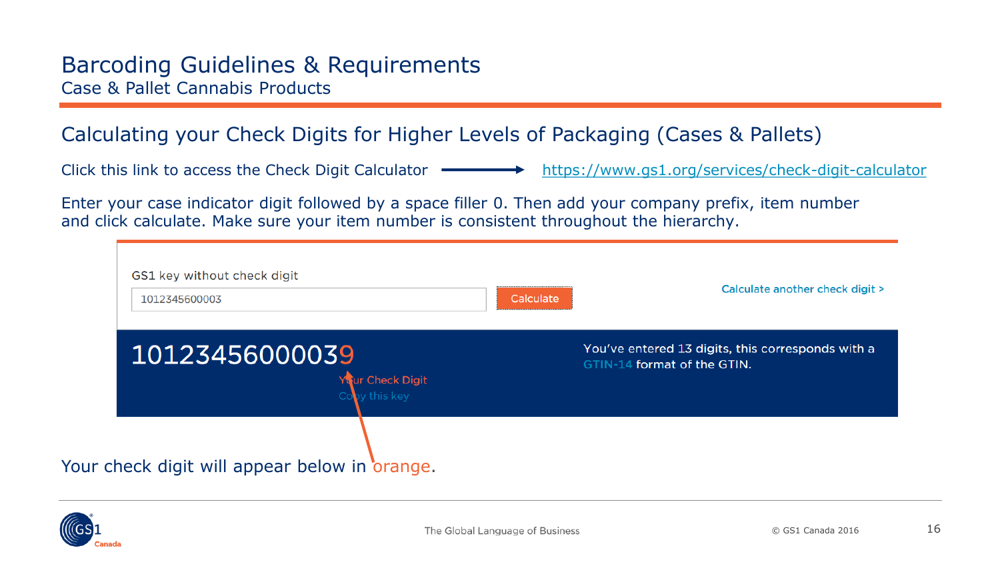### <span id="page-15-0"></span>Calculating your Check Digits for Higher Levels of Packaging (Cases & Pallets)

|  | Click this link to access the Check Digit Calculator | https://www.gs1.org/services/check-digit-calculator |
|--|------------------------------------------------------|-----------------------------------------------------|
|--|------------------------------------------------------|-----------------------------------------------------|

Enter your case indicator digit followed by a space filler 0. Then add your company prefix, item number and click calculate. Make sure your item number is consistent throughout the hierarchy.

| GS1 key without check digit<br>1012345600003        | Calculate another check digit ><br>Calculate                                     |
|-----------------------------------------------------|----------------------------------------------------------------------------------|
| 10123456000039<br>Your Check Digit<br>Copy this key | You've entered 13 digits, this corresponds with a<br>GTIN-14 format of the GTIN. |
| Your check digit will appear below in orange.       |                                                                                  |

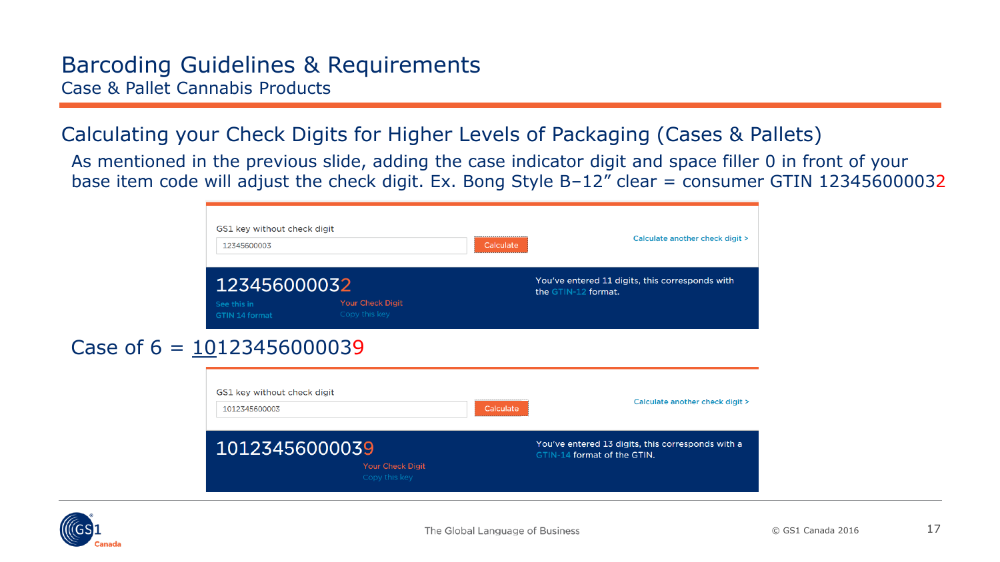### Barcoding Guidelines & Requirements Case & Pallet Cannabis Products

### Calculating your Check Digits for Higher Levels of Packaging (Cases & Pallets)

As mentioned in the previous slide, adding the case indicator digit and space filler 0 in front of your base item code will adjust the check digit. Ex. Bong Style B-12" clear = consumer GTIN 123456000032

| GS1 key without check digit<br>12345600003           |                                          | Calculate | Calculate another check digit >                                                  |
|------------------------------------------------------|------------------------------------------|-----------|----------------------------------------------------------------------------------|
| 123456000032<br>See this in<br><b>GTIN 14 format</b> | <b>Your Check Digit</b><br>Copy this key |           | You've entered 11 digits, this corresponds with<br>the GTIN-12 format.           |
| 10123456000039                                       |                                          |           |                                                                                  |
| GS1 key without check digit<br>1012345600003         |                                          | Calculate | Calculate another check digit >                                                  |
| 10123456000039                                       | <b>Your Check Digit</b><br>Copy this key |           | You've entered 13 digits, this corresponds with a<br>GTIN-14 format of the GTIN. |



Case of  $6 = 1$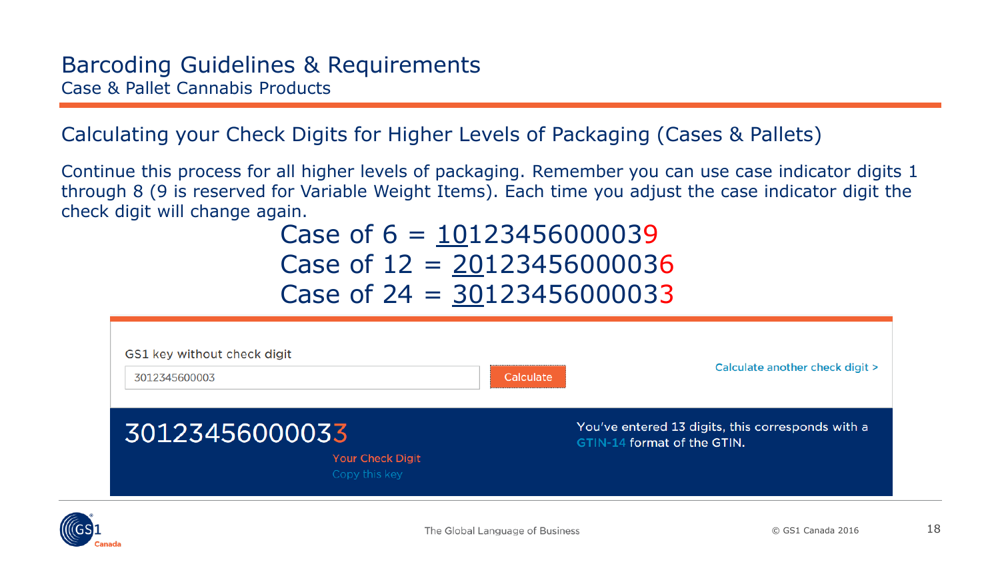### Calculating your Check Digits for Higher Levels of Packaging (Cases & Pallets)

Continue this process for all higher levels of packaging. Remember you can use case indicator digits 1 through 8 (9 is reserved for Variable Weight Items). Each time you adjust the case indicator digit the check digit will change again.

# Case of  $6 = 10123456000039$ Case of 12 = 20123456000036 Case of  $24 = 30123456000033$

| GS1 key without check digit<br>3012345600003 |                                   | Calculate | Calculate another check digit >                                                  |
|----------------------------------------------|-----------------------------------|-----------|----------------------------------------------------------------------------------|
| 30123456000033                               | Your Check Digit<br>Copy this key |           | You've entered 13 digits, this corresponds with a<br>GTIN-14 format of the GTIN. |

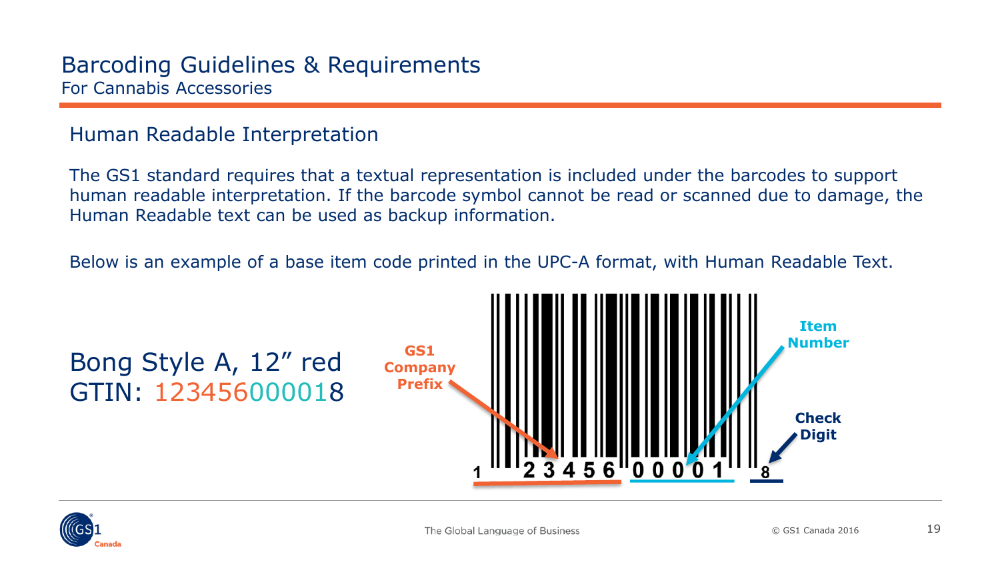### <span id="page-18-0"></span>Human Readable Interpretation

The GS1 standard requires that a textual representation is included under the barcodes to support human readable interpretation. If the barcode symbol cannot be read or scanned due to damage, the Human Readable text can be used as backup information.

Below is an example of a base item code printed in the UPC-A format, with Human Readable Text.



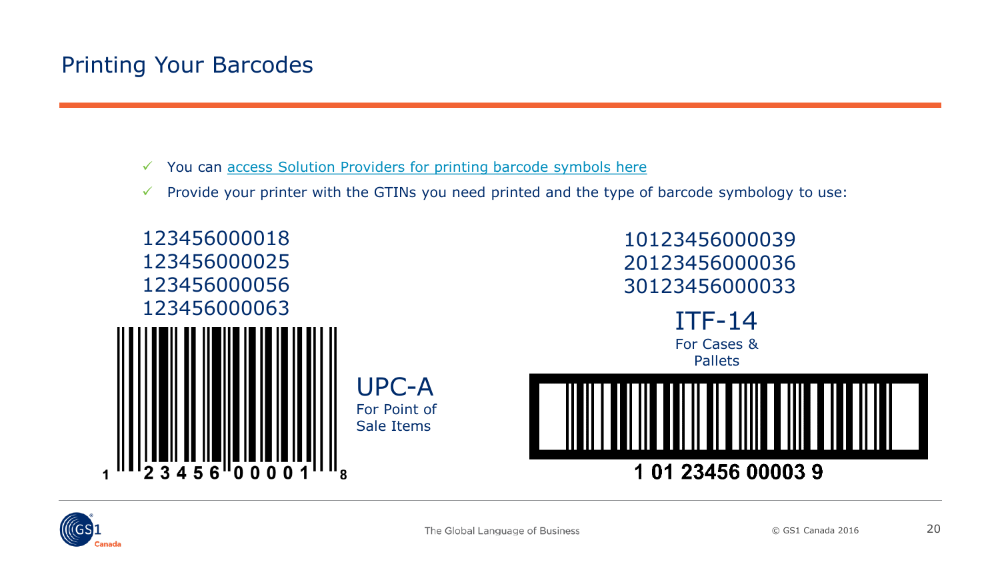## <span id="page-19-0"></span>Printing Your Barcodes

- $\checkmark$  You can [access Solution Providers for printing barcode symbols here](http://www.gs1ca.org/solutions/bcp.asp)
- $\checkmark$  Provide your printer with the GTINs you need printed and the type of barcode symbology to use: